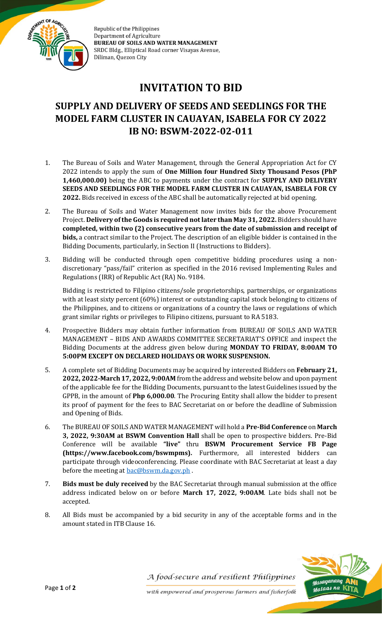

Republic of the Philippines **Department of Agriculture BUREAU OF SOILS AND WATER MANAGEMENT** SRDC Bldg., Elliptical Road corner Visayas Avenue, Diliman, Quezon City

## **INVITATION TO BID**

## **SUPPLY AND DELIVERY OF SEEDS AND SEEDLINGS FOR THE MODEL FARM CLUSTER IN CAUAYAN, ISABELA FOR CY 2022 IB NO: BSWM-2022-02-011**

- 1. The Bureau of Soils and Water Management, through the General Appropriation Act for CY 2022 intends to apply the sum of **One Million four Hundred Sixty Thousand Pesos (PhP 1,460,000.00)** being the ABC to payments under the contract for **SUPPLY AND DELIVERY SEEDS AND SEEDLINGS FOR THE MODEL FARM CLUSTER IN CAUAYAN, ISABELA FOR CY 2022.** Bids received in excess of the ABC shall be automatically rejected at bid opening.
- 2. The Bureau of Soils and Water Management now invites bids for the above Procurement Project. **Delivery of the Goods is required not later than May 31, 2022.** Bidders should have **completed, within two (2) consecutive years from the date of submission and receipt of bids,** a contract similar to the Project. The description of an eligible bidder is contained in the Bidding Documents, particularly, in Section II (Instructions to Bidders).
- 3. Bidding will be conducted through open competitive bidding procedures using a nondiscretionary "pass/fail" criterion as specified in the 2016 revised Implementing Rules and Regulations (IRR) of Republic Act (RA) No. 9184.

Bidding is restricted to Filipino citizens/sole proprietorships, partnerships, or organizations with at least sixty percent (60%) interest or outstanding capital stock belonging to citizens of the Philippines, and to citizens or organizations of a country the laws or regulations of which grant similar rights or privileges to Filipino citizens, pursuant to RA 5183.

- 4. Prospective Bidders may obtain further information from BUREAU OF SOILS AND WATER MANAGEMENT – BIDS AND AWARDS COMMITTEE SECRETARIAT'S OFFICE and inspect the Bidding Documents at the address given below during **MONDAY TO FRIDAY, 8:00AM TO 5:00PM EXCEPT ON DECLARED HOLIDAYS OR WORK SUSPENSION.**
- 5. A complete set of Bidding Documents may be acquired by interested Bidders on **February 21, 2022, 2022-March 17, 2022, 9:00AM** from the address and website below and upon payment of the applicable fee for the Bidding Documents, pursuant to the latest Guidelines issued by the GPPB, in the amount of **Php 6,000.00**. The Procuring Entity shall allow the bidder to present its proof of payment for the fees to BAC Secretariat on or before the deadline of Submission and Opening of Bids.
- 6. The BUREAU OF SOILS AND WATER MANAGEMENT will hold a **Pre-Bid Conference** on **March 3, 2022, 9:30AM at BSWM Convention Hall** shall be open to prospective bidders. Pre-Bid Conference will be available **"live"** thru **BSWM Procurement Service FB Page (https://www.facebook.com/bswmpms).** Furthermore, all interested bidders can participate through videoconferencing. Please coordinate with BAC Secretariat at least a day before the meeting at [bac@bswm.da.gov.ph](mailto:bac@bswm.da.gov.ph).
- 7. **Bids must be duly received** by the BAC Secretariat through manual submission at the office address indicated below on or before **March 17, 2022, 9:00AM**. Late bids shall not be accepted.
- 8. All Bids must be accompanied by a bid security in any of the acceptable forms and in the amount stated in ITB Clause 16.



A food-secure and resilient Philippines

with empowered and prosperous farmers and fisherfolk